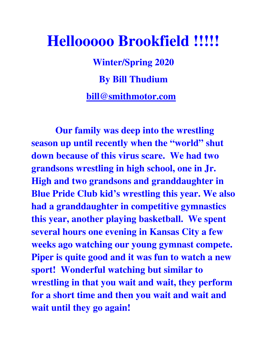## **Hellooooo Brookfield !!!!!**

**Winter/Spring 2020** 

**By Bill Thudium** 

**bill@smithmotor.com** 

 **Our family was deep into the wrestling season up until recently when the "world" shut down because of this virus scare. We had two grandsons wrestling in high school, one in Jr. High and two grandsons and granddaughter in Blue Pride Club kid's wrestling this year. We also had a granddaughter in competitive gymnastics this year, another playing basketball. We spent several hours one evening in Kansas City a few weeks ago watching our young gymnast compete. Piper is quite good and it was fun to watch a new sport! Wonderful watching but similar to wrestling in that you wait and wait, they perform for a short time and then you wait and wait and wait until they go again!**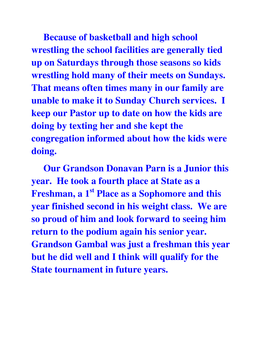**Because of basketball and high school wrestling the school facilities are generally tied up on Saturdays through those seasons so kids wrestling hold many of their meets on Sundays. That means often times many in our family are unable to make it to Sunday Church services. I keep our Pastor up to date on how the kids are doing by texting her and she kept the congregation informed about how the kids were doing.** 

 **Our Grandson Donavan Parn is a Junior this year. He took a fourth place at State as a Freshman, a 1st Place as a Sophomore and this year finished second in his weight class. We are so proud of him and look forward to seeing him return to the podium again his senior year. Grandson Gambal was just a freshman this year but he did well and I think will qualify for the State tournament in future years.**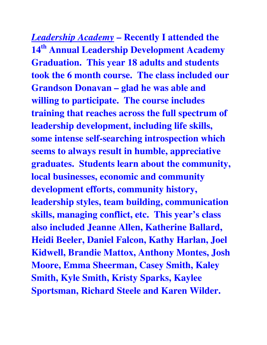*Leadership Academy* **– Recently I attended the 14th Annual Leadership Development Academy Graduation. This year 18 adults and students took the 6 month course. The class included our Grandson Donavan – glad he was able and willing to participate. The course includes training that reaches across the full spectrum of leadership development, including life skills, some intense self-searching introspection which seems to always result in humble, appreciative graduates. Students learn about the community, local businesses, economic and community development efforts, community history, leadership styles, team building, communication skills, managing conflict, etc. This year's class also included Jeanne Allen, Katherine Ballard, Heidi Beeler, Daniel Falcon, Kathy Harlan, Joel Kidwell, Brandie Mattox, Anthony Montes, Josh Moore, Emma Sheerman, Casey Smith, Kaley Smith, Kyle Smith, Kristy Sparks, Kaylee Sportsman, Richard Steele and Karen Wilder.**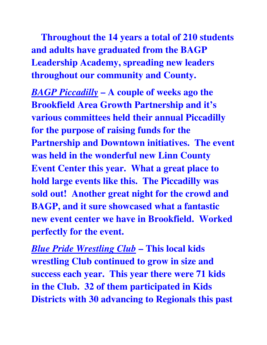**Throughout the 14 years a total of 210 students and adults have graduated from the BAGP Leadership Academy, spreading new leaders throughout our community and County.** 

*BAGP Piccadilly* **– A couple of weeks ago the Brookfield Area Growth Partnership and it's various committees held their annual Piccadilly for the purpose of raising funds for the Partnership and Downtown initiatives. The event was held in the wonderful new Linn County Event Center this year. What a great place to hold large events like this. The Piccadilly was sold out! Another great night for the crowd and BAGP, and it sure showcased what a fantastic new event center we have in Brookfield. Worked perfectly for the event.** 

*Blue Pride Wrestling Club* **– This local kids wrestling Club continued to grow in size and success each year. This year there were 71 kids in the Club. 32 of them participated in Kids Districts with 30 advancing to Regionals this past**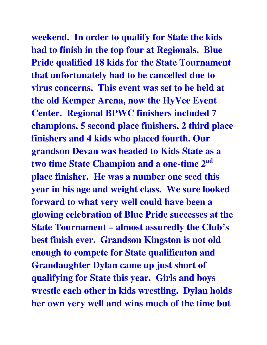**weekend. In order to qualify for State the kids had to finish in the top four at Regionals. Blue Pride qualified 18 kids for the State Tournament that unfortunately had to be cancelled due to virus concerns. This event was set to be held at the old Kemper Arena, now the HyVee Event Center. Regional BPWC finishers included 7 champions, 5 second place finishers, 2 third place finishers and 4 kids who placed fourth. Our grandson Devan was headed to Kids State as a two time State Champion and a one-time 2nd place finisher. He was a number one seed this year in his age and weight class. We sure looked forward to what very well could have been a glowing celebration of Blue Pride successes at the State Tournament – almost assuredly the Club's best finish ever. Grandson Kingston is not old enough to compete for State qualificaton and Grandaughter Dylan came up just short of qualifying for State this year. Girls and boys wrestle each other in kids wrestling. Dylan holds her own very well and wins much of the time but**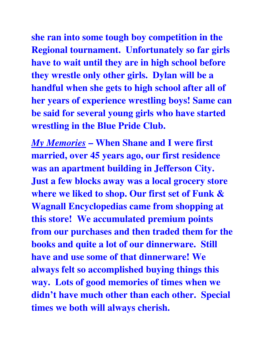**she ran into some tough boy competition in the Regional tournament. Unfortunately so far girls have to wait until they are in high school before they wrestle only other girls. Dylan will be a handful when she gets to high school after all of her years of experience wrestling boys! Same can be said for several young girls who have started wrestling in the Blue Pride Club.** 

*My Memories* **– When Shane and I were first married, over 45 years ago, our first residence was an apartment building in Jefferson City. Just a few blocks away was a local grocery store where we liked to shop. Our first set of Funk & Wagnall Encyclopedias came from shopping at this store! We accumulated premium points from our purchases and then traded them for the books and quite a lot of our dinnerware. Still have and use some of that dinnerware! We always felt so accomplished buying things this way. Lots of good memories of times when we didn't have much other than each other. Special times we both will always cherish.**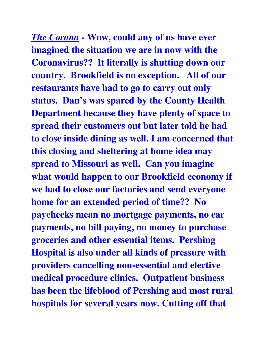*The Corona* **- Wow, could any of us have ever imagined the situation we are in now with the Coronavirus?? It literally is shutting down our country. Brookfield is no exception. All of our restaurants have had to go to carry out only status. Dan's was spared by the County Health Department because they have plenty of space to spread their customers out but later told he had to close inside dining as well. I am concerned that this closing and sheltering at home idea may spread to Missouri as well. Can you imagine what would happen to our Brookfield economy if we had to close our factories and send everyone home for an extended period of time?? No paychecks mean no mortgage payments, no car payments, no bill paying, no money to purchase groceries and other essential items. Pershing Hospital is also under all kinds of pressure with providers cancelling non-essential and elective medical procedure clinics. Outpatient business has been the lifeblood of Pershing and most rural hospitals for several years now. Cutting off that**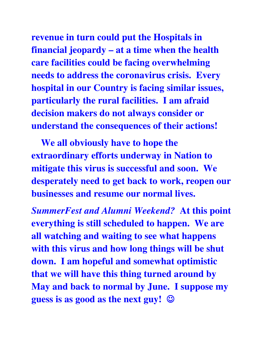**revenue in turn could put the Hospitals in financial jeopardy – at a time when the health care facilities could be facing overwhelming needs to address the coronavirus crisis. Every hospital in our Country is facing similar issues, particularly the rural facilities. I am afraid decision makers do not always consider or understand the consequences of their actions!** 

 **We all obviously have to hope the extraordinary efforts underway in Nation to mitigate this virus is successful and soon. We desperately need to get back to work, reopen our businesses and resume our normal lives.** 

*SummerFest and Alumni Weekend?* **At this point everything is still scheduled to happen. We are all watching and waiting to see what happens with this virus and how long things will be shut down. I am hopeful and somewhat optimistic that we will have this thing turned around by May and back to normal by June. I suppose my guess is as good as the next guy!** ☺